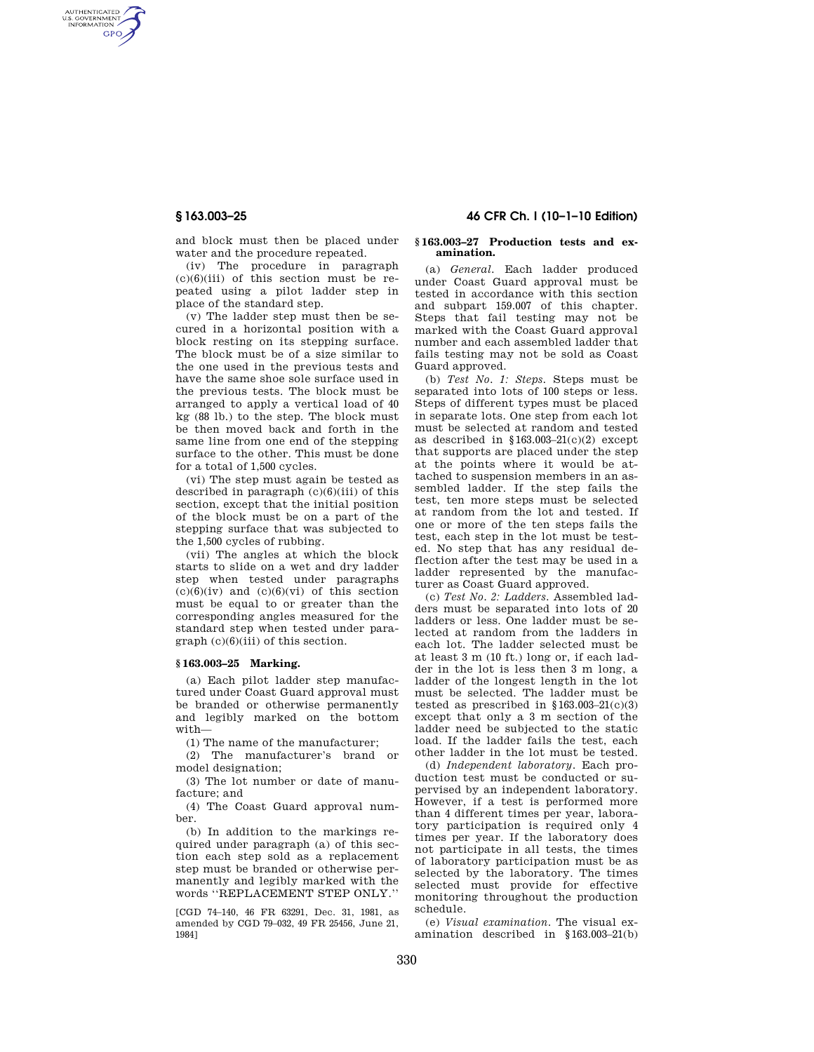AUTHENTICATED<br>U.S. GOVERNMENT<br>INFORMATION **GPO** 

**§ 163.003–25 46 CFR Ch. I (10–1–10 Edition)** 

and block must then be placed under water and the procedure repeated.

(iv) The procedure in paragraph  $(c)(6)(iii)$  of this section must be repeated using a pilot ladder step in place of the standard step.

(v) The ladder step must then be secured in a horizontal position with a block resting on its stepping surface. The block must be of a size similar to the one used in the previous tests and have the same shoe sole surface used in the previous tests. The block must be arranged to apply a vertical load of 40 kg (88 lb.) to the step. The block must be then moved back and forth in the same line from one end of the stepping surface to the other. This must be done for a total of 1,500 cycles.

(vi) The step must again be tested as described in paragraph  $(c)(6)(iii)$  of this section, except that the initial position of the block must be on a part of the stepping surface that was subjected to the 1,500 cycles of rubbing.

(vii) The angles at which the block starts to slide on a wet and dry ladder step when tested under paragraphs  $(c)(6)(iv)$  and  $(c)(6)(vi)$  of this section must be equal to or greater than the corresponding angles measured for the standard step when tested under paragraph (c)(6)(iii) of this section.

## **§ 163.003–25 Marking.**

(a) Each pilot ladder step manufactured under Coast Guard approval must be branded or otherwise permanently and legibly marked on the bottom with—

(1) The name of the manufacturer;

(2) The manufacturer's brand or model designation;

(3) The lot number or date of manufacture; and

(4) The Coast Guard approval number.

(b) In addition to the markings required under paragraph (a) of this section each step sold as a replacement step must be branded or otherwise permanently and legibly marked with the words ''REPLACEMENT STEP ONLY.''

[CGD 74–140, 46 FR 63291, Dec. 31, 1981, as amended by CGD 79–032, 49 FR 25456, June 21, 1984]

## **§ 163.003–27 Production tests and examination.**

(a) *General.* Each ladder produced under Coast Guard approval must be tested in accordance with this section and subpart 159.007 of this chapter. Steps that fail testing may not be marked with the Coast Guard approval number and each assembled ladder that fails testing may not be sold as Coast Guard approved.

(b) *Test No. 1: Steps.* Steps must be separated into lots of 100 steps or less. Steps of different types must be placed in separate lots. One step from each lot must be selected at random and tested as described in  $$163.003-21(c)(2)$  except that supports are placed under the step at the points where it would be attached to suspension members in an assembled ladder. If the step fails the test, ten more steps must be selected at random from the lot and tested. If one or more of the ten steps fails the test, each step in the lot must be tested. No step that has any residual deflection after the test may be used in a ladder represented by the manufacturer as Coast Guard approved.

(c) *Test No. 2: Ladders.* Assembled ladders must be separated into lots of 20 ladders or less. One ladder must be selected at random from the ladders in each lot. The ladder selected must be at least 3 m (10 ft.) long or, if each ladder in the lot is less then 3 m long, a ladder of the longest length in the lot must be selected. The ladder must be tested as prescribed in  $$163.003-21(c)(3)$ except that only a 3 m section of the ladder need be subjected to the static load. If the ladder fails the test, each other ladder in the lot must be tested.

(d) *Independent laboratory.* Each production test must be conducted or supervised by an independent laboratory. However, if a test is performed more than 4 different times per year, laboratory participation is required only 4 times per year. If the laboratory does not participate in all tests, the times of laboratory participation must be as selected by the laboratory. The times selected must provide for effective monitoring throughout the production schedule.

(e) *Visual examination.* The visual examination described in §163.003–21(b)